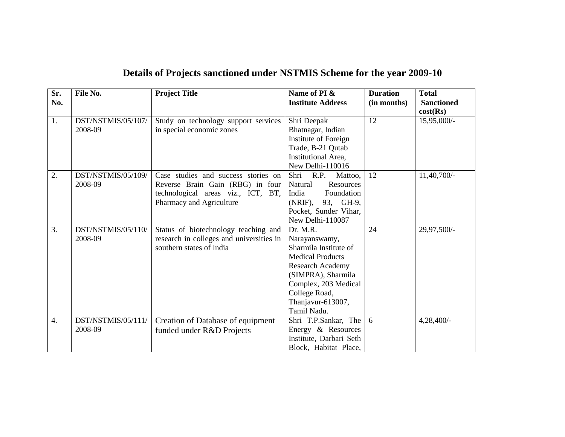| Sr.<br>No.       | File No.                      | <b>Project Title</b>                                                                                                                      | Name of PI &<br><b>Institute Address</b>                                                                                                                                                                    | <b>Duration</b><br>(in months) | <b>Total</b><br><b>Sanctioned</b><br>cost(Rs) |
|------------------|-------------------------------|-------------------------------------------------------------------------------------------------------------------------------------------|-------------------------------------------------------------------------------------------------------------------------------------------------------------------------------------------------------------|--------------------------------|-----------------------------------------------|
| 1.               | DST/NSTMIS/05/107/<br>2008-09 | Study on technology support services<br>in special economic zones                                                                         | Shri Deepak<br>Bhatnagar, Indian<br>Institute of Foreign<br>Trade, B-21 Qutab<br>Institutional Area,<br>New Delhi-110016                                                                                    | 12                             | 15,95,000/-                                   |
| 2.               | DST/NSTMIS/05/109/<br>2008-09 | Case studies and success stories on<br>Reverse Brain Gain (RBG) in four<br>technological areas viz., ICT, BT,<br>Pharmacy and Agriculture | Shri R.P.<br>Mattoo,<br>Natural<br>Resources<br>Foundation<br>India<br>(NRIF), 93, GH-9,<br>Pocket, Sunder Vihar,<br>New Delhi-110087                                                                       | 12                             | 11,40,700/-                                   |
| 3.               | DST/NSTMIS/05/110/<br>2008-09 | Status of biotechnology teaching and<br>research in colleges and universities in<br>southern states of India                              | Dr. M.R.<br>Narayanswamy,<br>Sharmila Institute of<br><b>Medical Products</b><br><b>Research Academy</b><br>(SIMPRA), Sharmila<br>Complex, 203 Medical<br>College Road,<br>Thanjavur-613007,<br>Tamil Nadu. | 24                             | 29,97,500/-                                   |
| $\overline{4}$ . | DST/NSTMIS/05/111/<br>2008-09 | Creation of Database of equipment<br>funded under R&D Projects                                                                            | Shri T.P.Sankar, The<br>Energy & Resources<br>Institute, Darbari Seth<br>Block, Habitat Place,                                                                                                              | 6                              | 4,28,400/-                                    |

## **Details of Projects sanctioned under NSTMIS Scheme for the year 2009-10**